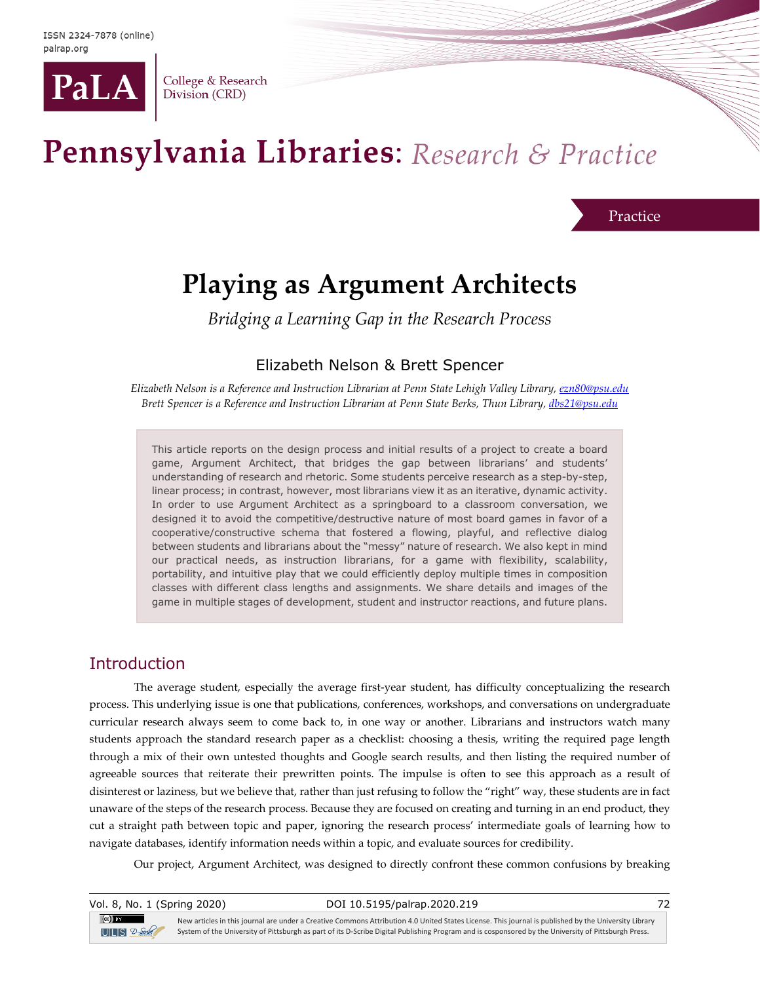

College & Research Division (CRD)

# Pennsylvania Libraries: Research & Practice

#### Practice

# **Playing as Argument Architects**

*Bridging a Learning Gap in the Research Process*

# Elizabeth Nelson & Brett Spencer

*Elizabeth Nelson is a Reference and Instruction Librarian at Penn State Lehigh Valley Library, [ezn80@psu.edu](mailto:ezn80@psu.edu) Brett Spencer is a Reference and Instruction Librarian at Penn State Berks, Thun Library[, dbs21@psu.edu](mailto:dbs21@psu.edu)*

This article reports on the design process and initial results of a project to create a board game, Argument Architect, that bridges the gap between librarians' and students' understanding of research and rhetoric. Some students perceive research as a step-by-step, linear process; in contrast, however, most librarians view it as an iterative, dynamic activity. In order to use Argument Architect as a springboard to a classroom conversation, we designed it to avoid the competitive/destructive nature of most board games in favor of a cooperative/constructive schema that fostered a flowing, playful, and reflective dialog between students and librarians about the "messy" nature of research. We also kept in mind our practical needs, as instruction librarians, for a game with flexibility, scalability, portability, and intuitive play that we could efficiently deploy multiple times in composition classes with different class lengths and assignments. We share details and images of the game in multiple stages of development, student and instructor reactions, and future plans.

# Introduction

The average student, especially the average first-year student, has difficulty conceptualizing the research process. This underlying issue is one that publications, conferences, workshops, and conversations on undergraduate curricular research always seem to come back to, in one way or another. Librarians and instructors watch many students approach the standard research paper as a checklist: choosing a thesis, writing the required page length through a mix of their own untested thoughts and Google search results, and then listing the required number of agreeable sources that reiterate their prewritten points. The impulse is often to see this approach as a result of disinterest or laziness, but we believe that, rather than just refusing to follow the "right" way, these students are in fact unaware of the steps of the research process. Because they are focused on creating and turning in an end product, they cut a straight path between topic and paper, ignoring the research process' intermediate goals of learning how to navigate databases, identify information needs within a topic, and evaluate sources for credibility.

Our project, Argument Architect, was designed to directly confront these common confusions by breaking

| Vol. 8, No. 1 (Spring 2020)                               | DOI 10.5195/palrap.2020.219                                                                                                                                                                                                                                                                                 | 72 |
|-----------------------------------------------------------|-------------------------------------------------------------------------------------------------------------------------------------------------------------------------------------------------------------------------------------------------------------------------------------------------------------|----|
| $\left( $ cc $\right)$ and $\left( $<br>$UILS$ $2-$ Soule | New articles in this journal are under a Creative Commons Attribution 4.0 United States License. This journal is published by the University Library<br>System of the University of Pittsburgh as part of its D-Scribe Digital Publishing Program and is cosponsored by the University of Pittsburgh Press. |    |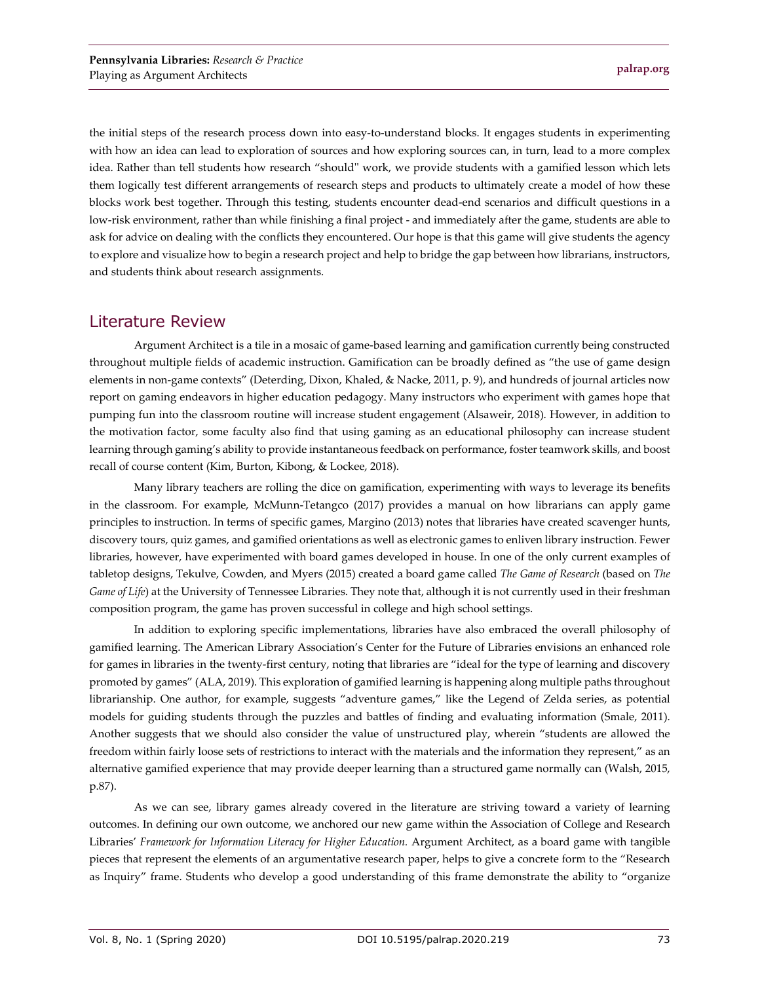the initial steps of the research process down into easy-to-understand blocks. It engages students in experimenting with how an idea can lead to exploration of sources and how exploring sources can, in turn, lead to a more complex idea. Rather than tell students how research "should'' work, we provide students with a gamified lesson which lets them logically test different arrangements of research steps and products to ultimately create a model of how these blocks work best together. Through this testing, students encounter dead-end scenarios and difficult questions in a low-risk environment, rather than while finishing a final project - and immediately after the game, students are able to ask for advice on dealing with the conflicts they encountered. Our hope is that this game will give students the agency to explore and visualize how to begin a research project and help to bridge the gap between how librarians, instructors, and students think about research assignments.

# Literature Review

Argument Architect is a tile in a mosaic of game-based learning and gamification currently being constructed throughout multiple fields of academic instruction. Gamification can be broadly defined as "the use of game design elements in non-game contexts" (Deterding, Dixon, Khaled, & Nacke, 2011, p. 9), and hundreds of journal articles now report on gaming endeavors in higher education pedagogy. Many instructors who experiment with games hope that pumping fun into the classroom routine will increase student engagement (Alsaweir, 2018). However, in addition to the motivation factor, some faculty also find that using gaming as an educational philosophy can increase student learning through gaming's ability to provide instantaneous feedback on performance, foster teamwork skills, and boost recall of course content (Kim, Burton, Kibong, & Lockee, 2018).

Many library teachers are rolling the dice on gamification, experimenting with ways to leverage its benefits in the classroom. For example, McMunn-Tetangco (2017) provides a manual on how librarians can apply game principles to instruction. In terms of specific games, Margino (2013) notes that libraries have created scavenger hunts, discovery tours, quiz games, and gamified orientations as well as electronic games to enliven library instruction. Fewer libraries, however, have experimented with board games developed in house. In one of the only current examples of tabletop designs, Tekulve, Cowden, and Myers (2015) created a board game called *The Game of Research* (based on *The Game of Life*) at the University of Tennessee Libraries. They note that, although it is not currently used in their freshman composition program, the game has proven successful in college and high school settings.

In addition to exploring specific implementations, libraries have also embraced the overall philosophy of gamified learning. The American Library Association's Center for the Future of Libraries envisions an enhanced role for games in libraries in the twenty-first century, noting that libraries are "ideal for the type of learning and discovery promoted by games" (ALA, 2019). This exploration of gamified learning is happening along multiple paths throughout librarianship. One author, for example, suggests "adventure games," like the Legend of Zelda series, as potential models for guiding students through the puzzles and battles of finding and evaluating information (Smale, 2011). Another suggests that we should also consider the value of unstructured play, wherein "students are allowed the freedom within fairly loose sets of restrictions to interact with the materials and the information they represent," as an alternative gamified experience that may provide deeper learning than a structured game normally can (Walsh, 2015, p.87).

As we can see, library games already covered in the literature are striving toward a variety of learning outcomes. In defining our own outcome, we anchored our new game within the Association of College and Research Libraries' Framework for Information Literacy for Higher Education. Argument Architect, as a board game with tangible pieces that represent the elements of an argumentative research paper, helps to give a concrete form to the "Research as Inquiry" frame. Students who develop a good understanding of this frame demonstrate the ability to "organize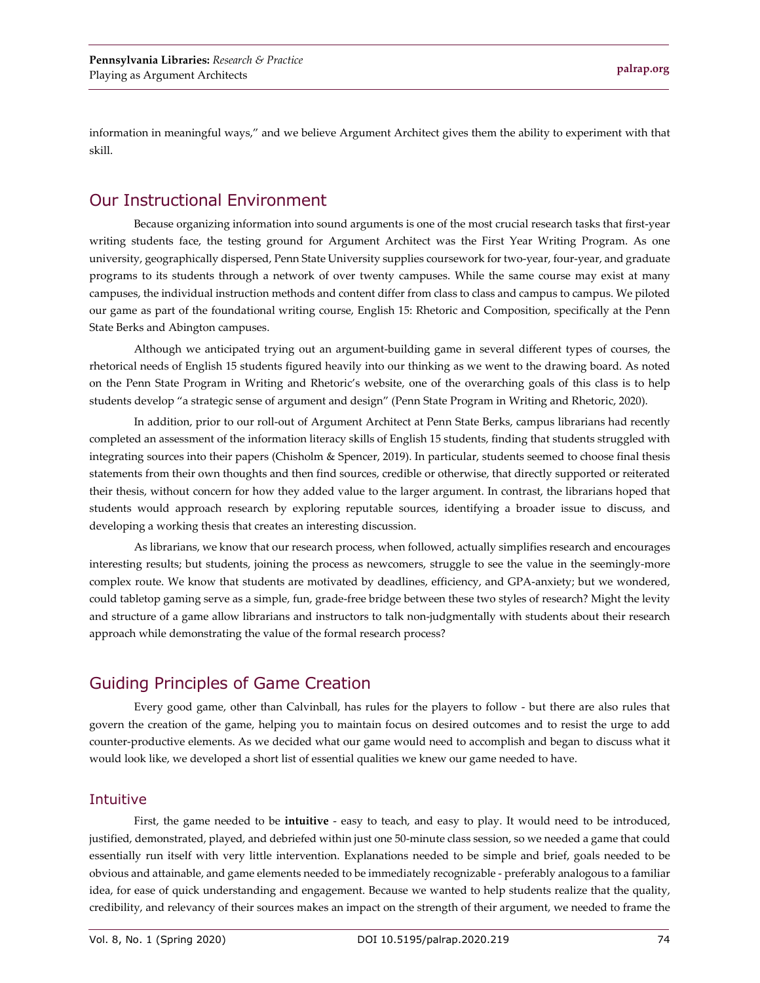information in meaningful ways," and we believe Argument Architect gives them the ability to experiment with that skill.

# Our Instructional Environment

Because organizing information into sound arguments is one of the most crucial research tasks that first-year writing students face, the testing ground for Argument Architect was the First Year Writing Program. As one university, geographically dispersed, Penn State University supplies coursework for two-year, four-year, and graduate programs to its students through a network of over twenty campuses. While the same course may exist at many campuses, the individual instruction methods and content differ from class to class and campus to campus. We piloted our game as part of the foundational writing course, English 15: Rhetoric and Composition, specifically at the Penn State Berks and Abington campuses.

Although we anticipated trying out an argument-building game in several different types of courses, the rhetorical needs of English 15 students figured heavily into our thinking as we went to the drawing board. As noted on the Penn State Program in Writing and Rhetoric's website, one of the overarching goals of this class is to help students develop "a strategic sense of argument and design" (Penn State Program in Writing and Rhetoric, 2020).

In addition, prior to our roll-out of Argument Architect at Penn State Berks, campus librarians had recently completed an assessment of the information literacy skills of English 15 students, finding that students struggled with integrating sources into their papers (Chisholm & Spencer, 2019). In particular, students seemed to choose final thesis statements from their own thoughts and then find sources, credible or otherwise, that directly supported or reiterated their thesis, without concern for how they added value to the larger argument. In contrast, the librarians hoped that students would approach research by exploring reputable sources, identifying a broader issue to discuss, and developing a working thesis that creates an interesting discussion.

As librarians, we know that our research process, when followed, actually simplifies research and encourages interesting results; but students, joining the process as newcomers, struggle to see the value in the seemingly-more complex route. We know that students are motivated by deadlines, efficiency, and GPA-anxiety; but we wondered, could tabletop gaming serve as a simple, fun, grade-free bridge between these two styles of research? Might the levity and structure of a game allow librarians and instructors to talk non-judgmentally with students about their research approach while demonstrating the value of the formal research process?

# Guiding Principles of Game Creation

Every good game, other than Calvinball, has rules for the players to follow - but there are also rules that govern the creation of the game, helping you to maintain focus on desired outcomes and to resist the urge to add counter-productive elements. As we decided what our game would need to accomplish and began to discuss what it would look like, we developed a short list of essential qualities we knew our game needed to have.

#### Intuitive

First, the game needed to be **intuitive** - easy to teach, and easy to play. It would need to be introduced, justified, demonstrated, played, and debriefed within just one 50-minute class session, so we needed a game that could essentially run itself with very little intervention. Explanations needed to be simple and brief, goals needed to be obvious and attainable, and game elements needed to be immediately recognizable - preferably analogous to a familiar idea, for ease of quick understanding and engagement. Because we wanted to help students realize that the quality, credibility, and relevancy of their sources makes an impact on the strength of their argument, we needed to frame the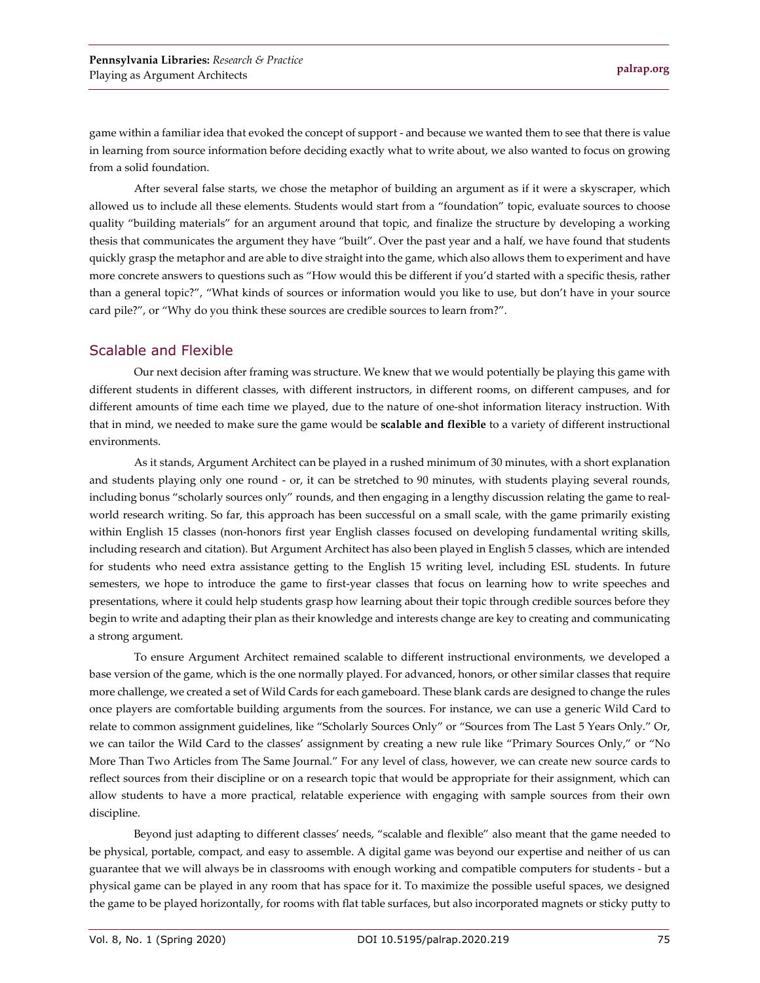game within a familiar idea that evoked the concept of support - and because we wanted them to see that there is value in learning from source information before deciding exactly what to write about, we also wanted to focus on growing from a solid foundation.

After several false starts, we chose the metaphor of building an argument as if it were a skyscraper, which allowed us to include all these elements. Students would start from a "foundation" topic, evaluate sources to choose quality "building materials" for an argument around that topic, and finalize the structure by developing a working thesis that communicates the argument they have "built". Over the past year and a half, we have found that students quickly grasp the metaphor and are able to dive straight into the game, which also allows them to experiment and have more concrete answers to questions such as "How would this be different if you'd started with a specific thesis, rather than a general topic?", "What kinds of sources or information would you like to use, but don't have in your source card pile?", or "Why do you think these sources are credible sources to learn from?".

#### Scalable and Flexible

Our next decision after framing was structure. We knew that we would potentially be playing this game with different students in different classes, with different instructors, in different rooms, on different campuses, and for different amounts of time each time we played, due to the nature of one-shot information literacy instruction. With that in mind, we needed to make sure the game would be **scalable and flexible** to a variety of different instructional environments.

As it stands, Argument Architect can be played in a rushed minimum of 30 minutes, with a short explanation and students playing only one round - or, it can be stretched to 90 minutes, with students playing several rounds, including bonus "scholarly sources only" rounds, and then engaging in a lengthy discussion relating the game to realworld research writing. So far, this approach has been successful on a small scale, with the game primarily existing within English 15 classes (non-honors first year English classes focused on developing fundamental writing skills, including research and citation). But Argument Architect has also been played in English 5 classes, which are intended for students who need extra assistance getting to the English 15 writing level, including ESL students. In future semesters, we hope to introduce the game to first-year classes that focus on learning how to write speeches and presentations, where it could help students grasp how learning about their topic through credible sources before they begin to write and adapting their plan as their knowledge and interests change are key to creating and communicating a strong argument.

To ensure Argument Architect remained scalable to different instructional environments, we developed a base version of the game, which is the one normally played. For advanced, honors, or other similar classes that require more challenge, we created a set of Wild Cards for each gameboard. These blank cards are designed to change the rules once players are comfortable building arguments from the sources. For instance, we can use a generic Wild Card to relate to common assignment guidelines, like "Scholarly Sources Only" or "Sources from The Last 5 Years Only." Or, we can tailor the Wild Card to the classes' assignment by creating a new rule like "Primary Sources Only," or "No More Than Two Articles from The Same Journal." For any level of class, however, we can create new source cards to reflect sources from their discipline or on a research topic that would be appropriate for their assignment, which can allow students to have a more practical, relatable experience with engaging with sample sources from their own discipline.

Beyond just adapting to different classes' needs, "scalable and flexible" also meant that the game needed to be physical, portable, compact, and easy to assemble. A digital game was beyond our expertise and neither of us can guarantee that we will always be in classrooms with enough working and compatible computers for students - but a physical game can be played in any room that has space for it. To maximize the possible useful spaces, we designed the game to be played horizontally, for rooms with flat table surfaces, but also incorporated magnets or sticky putty to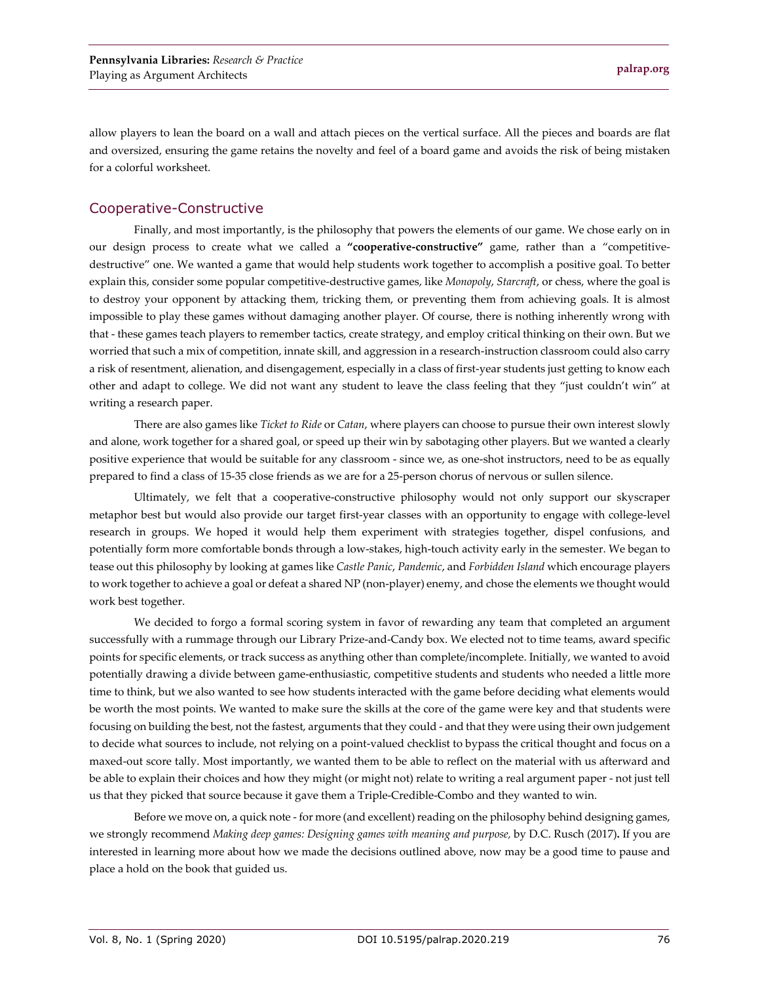allow players to lean the board on a wall and attach pieces on the vertical surface. All the pieces and boards are flat and oversized, ensuring the game retains the novelty and feel of a board game and avoids the risk of being mistaken for a colorful worksheet.

#### Cooperative-Constructive

Finally, and most importantly, is the philosophy that powers the elements of our game. We chose early on in our design process to create what we called a **"cooperative-constructive"** game, rather than a "competitivedestructive" one. We wanted a game that would help students work together to accomplish a positive goal. To better explain this, consider some popular competitive-destructive games, like *Monopoly*, *Starcraft*, or chess, where the goal is to destroy your opponent by attacking them, tricking them, or preventing them from achieving goals. It is almost impossible to play these games without damaging another player. Of course, there is nothing inherently wrong with that - these games teach players to remember tactics, create strategy, and employ critical thinking on their own. But we worried that such a mix of competition, innate skill, and aggression in a research-instruction classroom could also carry a risk of resentment, alienation, and disengagement, especially in a class of first-year students just getting to know each other and adapt to college. We did not want any student to leave the class feeling that they "just couldn't win" at writing a research paper.

There are also games like *Ticket to Ride* or *Catan*, where players can choose to pursue their own interest slowly and alone, work together for a shared goal, or speed up their win by sabotaging other players. But we wanted a clearly positive experience that would be suitable for any classroom - since we, as one-shot instructors, need to be as equally prepared to find a class of 15-35 close friends as we are for a 25-person chorus of nervous or sullen silence.

Ultimately, we felt that a cooperative-constructive philosophy would not only support our skyscraper metaphor best but would also provide our target first-year classes with an opportunity to engage with college-level research in groups. We hoped it would help them experiment with strategies together, dispel confusions, and potentially form more comfortable bonds through a low-stakes, high-touch activity early in the semester. We began to tease out this philosophy by looking at games like *Castle Panic*, *Pandemic*, and *Forbidden Island* which encourage players to work together to achieve a goal or defeat a shared NP (non-player) enemy, and chose the elements we thought would work best together.

We decided to forgo a formal scoring system in favor of rewarding any team that completed an argument successfully with a rummage through our Library Prize-and-Candy box. We elected not to time teams, award specific points for specific elements, or track success as anything other than complete/incomplete. Initially, we wanted to avoid potentially drawing a divide between game-enthusiastic, competitive students and students who needed a little more time to think, but we also wanted to see how students interacted with the game before deciding what elements would be worth the most points. We wanted to make sure the skills at the core of the game were key and that students were focusing on building the best, not the fastest, arguments that they could - and that they were using their own judgement to decide what sources to include, not relying on a point-valued checklist to bypass the critical thought and focus on a maxed-out score tally. Most importantly, we wanted them to be able to reflect on the material with us afterward and be able to explain their choices and how they might (or might not) relate to writing a real argument paper - not just tell us that they picked that source because it gave them a Triple-Credible-Combo and they wanted to win.

Before we move on, a quick note - for more (and excellent) reading on the philosophy behind designing games, we strongly recommend *Making deep games: Designing games with meaning and purpose,* by D.C. Rusch (2017)**.** If you are interested in learning more about how we made the decisions outlined above, now may be a good time to pause and place a hold on the book that guided us.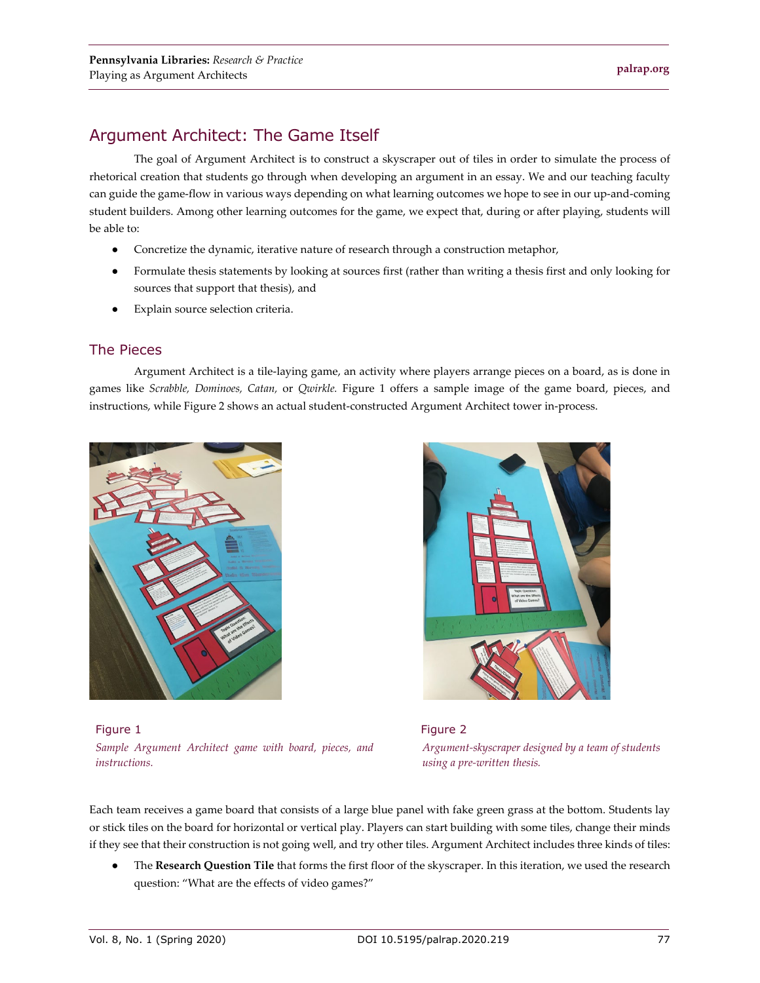# Argument Architect: The Game Itself

The goal of Argument Architect is to construct a skyscraper out of tiles in order to simulate the process of rhetorical creation that students go through when developing an argument in an essay. We and our teaching faculty can guide the game-flow in various ways depending on what learning outcomes we hope to see in our up-and-coming student builders. Among other learning outcomes for the game, we expect that, during or after playing, students will be able to:

- Concretize the dynamic, iterative nature of research through a construction metaphor,
- Formulate thesis statements by looking at sources first (rather than writing a thesis first and only looking for sources that support that thesis), and
- Explain source selection criteria.

#### The Pieces

Argument Architect is a tile-laying game, an activity where players arrange pieces on a board, as is done in games like *Scrabble, Dominoes, Catan,* or *Qwirkle.* Figure 1 offers a sample image of the game board, pieces, and instructions, while Figure 2 shows an actual student-constructed Argument Architect tower in-process.



Figure 1 *Sample Argument Architect game with board, pieces, and instructions.*



 Figure 2  *Argument-skyscraper designed by a team of students using a pre-written thesis.*

Each team receives a game board that consists of a large blue panel with fake green grass at the bottom. Students lay or stick tiles on the board for horizontal or vertical play. Players can start building with some tiles, change their minds if they see that their construction is not going well, and try other tiles. Argument Architect includes three kinds of tiles:

The Research Question Tile that forms the first floor of the skyscraper. In this iteration, we used the research question: "What are the effects of video games?"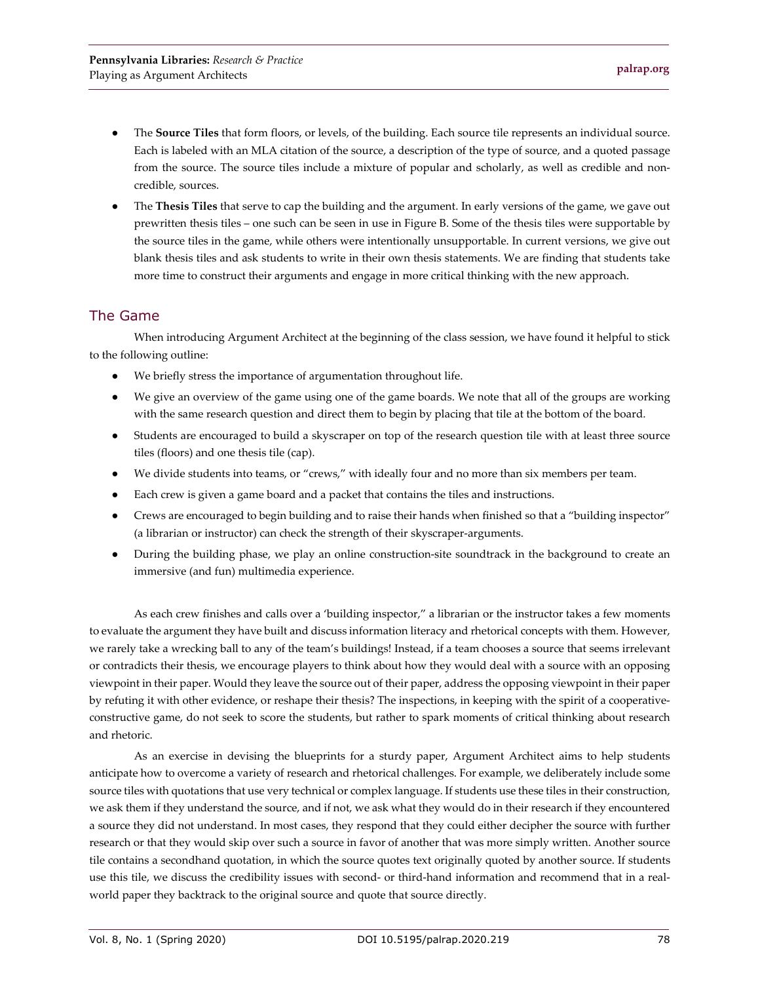- The **Source Tiles** that form floors, or levels, of the building. Each source tile represents an individual source. Each is labeled with an MLA citation of the source, a description of the type of source, and a quoted passage from the source. The source tiles include a mixture of popular and scholarly, as well as credible and noncredible, sources.
- The **Thesis Tiles** that serve to cap the building and the argument. In early versions of the game, we gave out prewritten thesis tiles – one such can be seen in use in Figure B. Some of the thesis tiles were supportable by the source tiles in the game, while others were intentionally unsupportable. In current versions, we give out blank thesis tiles and ask students to write in their own thesis statements. We are finding that students take more time to construct their arguments and engage in more critical thinking with the new approach.

#### The Game

When introducing Argument Architect at the beginning of the class session, we have found it helpful to stick to the following outline:

- We briefly stress the importance of argumentation throughout life.
- We give an overview of the game using one of the game boards. We note that all of the groups are working with the same research question and direct them to begin by placing that tile at the bottom of the board.
- Students are encouraged to build a skyscraper on top of the research question tile with at least three source tiles (floors) and one thesis tile (cap).
- We divide students into teams, or "crews," with ideally four and no more than six members per team.
- Each crew is given a game board and a packet that contains the tiles and instructions.
- Crews are encouraged to begin building and to raise their hands when finished so that a "building inspector" (a librarian or instructor) can check the strength of their skyscraper-arguments.
- During the building phase, we play an online construction-site soundtrack in the background to create an immersive (and fun) multimedia experience.

As each crew finishes and calls over a 'building inspector," a librarian or the instructor takes a few moments to evaluate the argument they have built and discuss information literacy and rhetorical concepts with them. However, we rarely take a wrecking ball to any of the team's buildings! Instead, if a team chooses a source that seems irrelevant or contradicts their thesis, we encourage players to think about how they would deal with a source with an opposing viewpoint in their paper. Would they leave the source out of their paper, address the opposing viewpoint in their paper by refuting it with other evidence, or reshape their thesis? The inspections, in keeping with the spirit of a cooperativeconstructive game, do not seek to score the students, but rather to spark moments of critical thinking about research and rhetoric.

As an exercise in devising the blueprints for a sturdy paper, Argument Architect aims to help students anticipate how to overcome a variety of research and rhetorical challenges. For example, we deliberately include some source tiles with quotations that use very technical or complex language. If students use these tiles in their construction, we ask them if they understand the source, and if not, we ask what they would do in their research if they encountered a source they did not understand. In most cases, they respond that they could either decipher the source with further research or that they would skip over such a source in favor of another that was more simply written. Another source tile contains a secondhand quotation, in which the source quotes text originally quoted by another source. If students use this tile, we discuss the credibility issues with second- or third-hand information and recommend that in a realworld paper they backtrack to the original source and quote that source directly.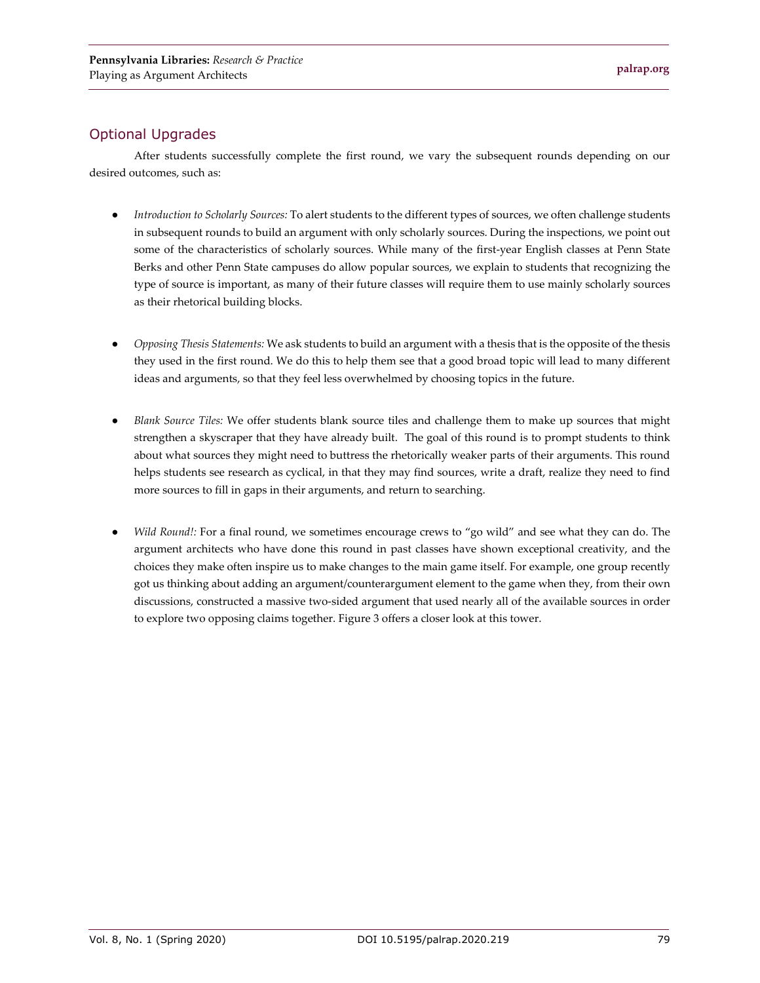### Optional Upgrades

After students successfully complete the first round, we vary the subsequent rounds depending on our desired outcomes, such as:

- *Introduction to Scholarly Sources:* To alert students to the different types of sources, we often challenge students in subsequent rounds to build an argument with only scholarly sources. During the inspections, we point out some of the characteristics of scholarly sources. While many of the first-year English classes at Penn State Berks and other Penn State campuses do allow popular sources, we explain to students that recognizing the type of source is important, as many of their future classes will require them to use mainly scholarly sources as their rhetorical building blocks.
- *Opposing Thesis Statements:* We ask students to build an argument with a thesis that is the opposite of the thesis they used in the first round. We do this to help them see that a good broad topic will lead to many different ideas and arguments, so that they feel less overwhelmed by choosing topics in the future.
- *Blank Source Tiles:* We offer students blank source tiles and challenge them to make up sources that might strengthen a skyscraper that they have already built. The goal of this round is to prompt students to think about what sources they might need to buttress the rhetorically weaker parts of their arguments. This round helps students see research as cyclical, in that they may find sources, write a draft, realize they need to find more sources to fill in gaps in their arguments, and return to searching.
- *Wild Round!:* For a final round, we sometimes encourage crews to "go wild" and see what they can do. The argument architects who have done this round in past classes have shown exceptional creativity, and the choices they make often inspire us to make changes to the main game itself. For example, one group recently got us thinking about adding an argument/counterargument element to the game when they, from their own discussions, constructed a massive two-sided argument that used nearly all of the available sources in order to explore two opposing claims together. Figure 3 offers a closer look at this tower.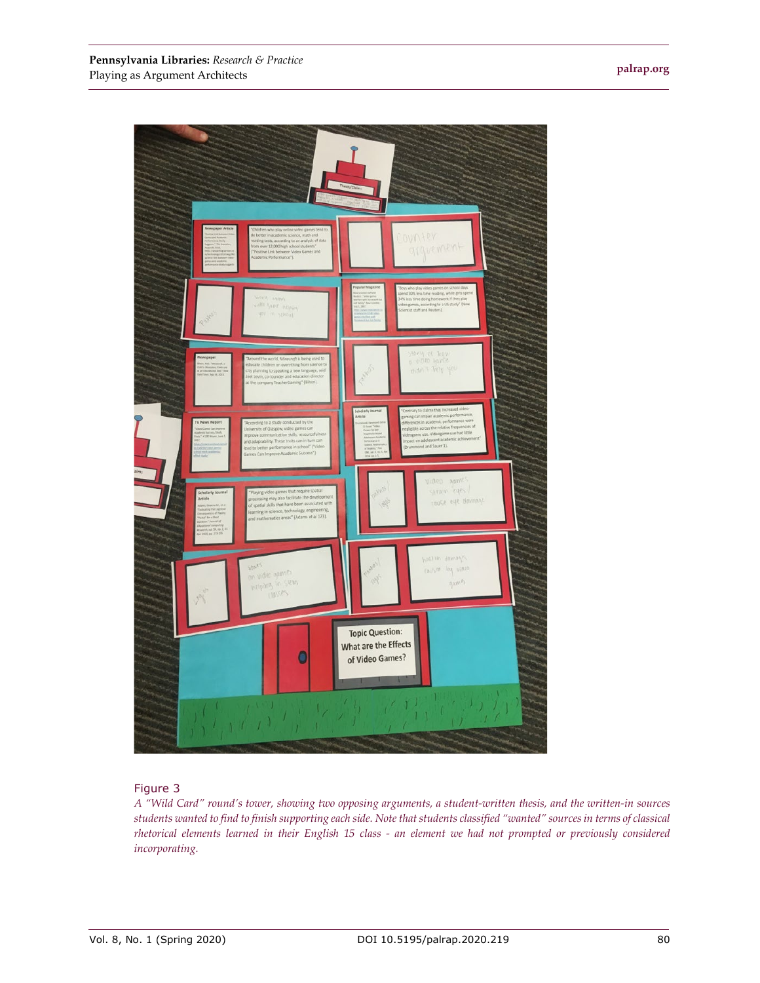**[palrap.org](http://palrap.org/)**



#### Figure 3

*A "Wild Card" round's tower, showing two opposing arguments, a student-written thesis, and the written-in sources students wanted to find to finish supporting each side. Note that students classified "wanted" sources in terms of classical rhetorical elements learned in their English 15 class - an element we had not prompted or previously considered incorporating.*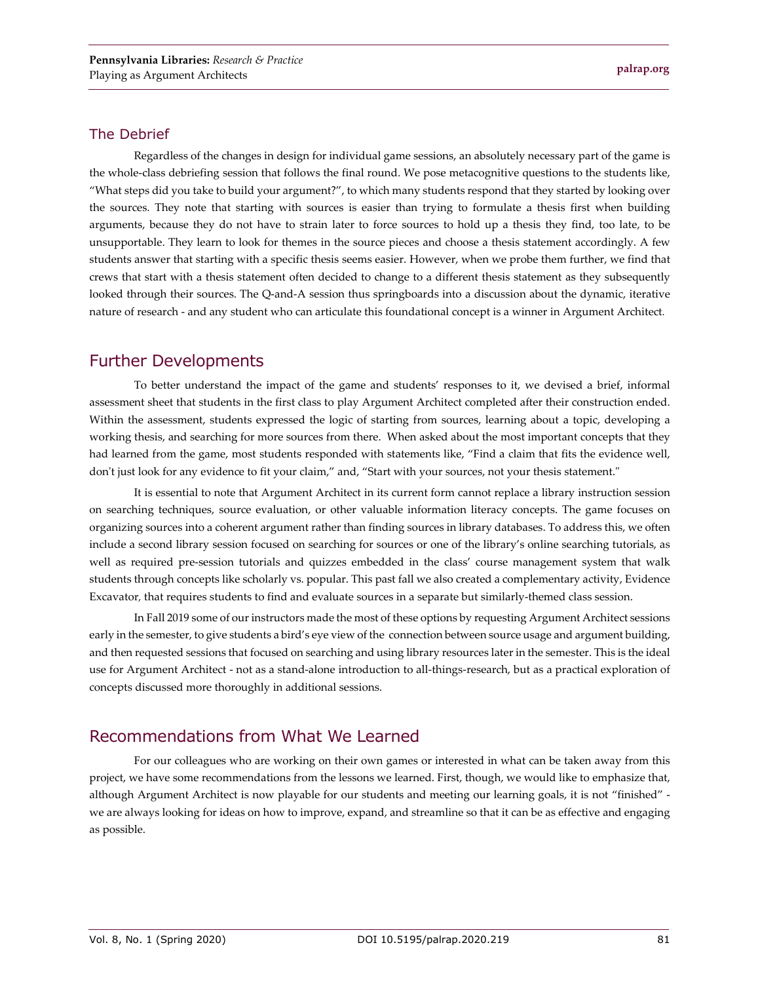#### The Debrief

Regardless of the changes in design for individual game sessions, an absolutely necessary part of the game is the whole-class debriefing session that follows the final round. We pose metacognitive questions to the students like, "What steps did you take to build your argument?", to which many students respond that they started by looking over the sources. They note that starting with sources is easier than trying to formulate a thesis first when building arguments, because they do not have to strain later to force sources to hold up a thesis they find, too late, to be unsupportable. They learn to look for themes in the source pieces and choose a thesis statement accordingly. A few students answer that starting with a specific thesis seems easier. However, when we probe them further, we find that crews that start with a thesis statement often decided to change to a different thesis statement as they subsequently looked through their sources. The Q-and-A session thus springboards into a discussion about the dynamic, iterative nature of research - and any student who can articulate this foundational concept is a winner in Argument Architect*.*

# Further Developments

To better understand the impact of the game and students' responses to it, we devised a brief, informal assessment sheet that students in the first class to play Argument Architect completed after their construction ended. Within the assessment, students expressed the logic of starting from sources, learning about a topic, developing a working thesis, and searching for more sources from there. When asked about the most important concepts that they had learned from the game, most students responded with statements like, "Find a claim that fits the evidence well, don't just look for any evidence to fit your claim," and, "Start with your sources, not your thesis statement."

It is essential to note that Argument Architect in its current form cannot replace a library instruction session on searching techniques, source evaluation, or other valuable information literacy concepts. The game focuses on organizing sources into a coherent argument rather than finding sources in library databases. To address this, we often include a second library session focused on searching for sources or one of the library's online searching tutorials, as well as required pre-session tutorials and quizzes embedded in the class' course management system that walk students through concepts like scholarly vs. popular. This past fall we also created a complementary activity, Evidence Excavator*,* that requires students to find and evaluate sources in a separate but similarly-themed class session.

In Fall 2019 some of our instructors made the most of these options by requesting Argument Architect sessions early in the semester, to give students a bird's eye view of the connection between source usage and argument building, and then requested sessions that focused on searching and using library resources later in the semester. This is the ideal use for Argument Architect - not as a stand-alone introduction to all-things-research, but as a practical exploration of concepts discussed more thoroughly in additional sessions.

# Recommendations from What We Learned

For our colleagues who are working on their own games or interested in what can be taken away from this project, we have some recommendations from the lessons we learned. First, though, we would like to emphasize that, although Argument Architect is now playable for our students and meeting our learning goals, it is not "finished" we are always looking for ideas on how to improve, expand, and streamline so that it can be as effective and engaging as possible.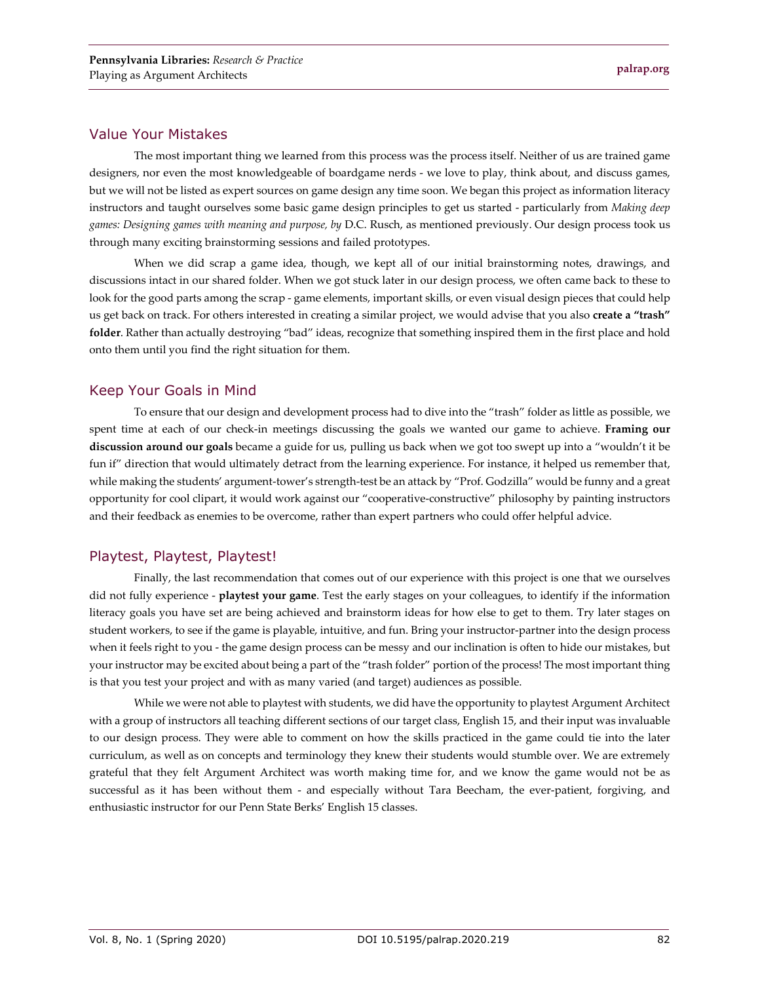#### Value Your Mistakes

The most important thing we learned from this process was the process itself. Neither of us are trained game designers, nor even the most knowledgeable of boardgame nerds - we love to play, think about, and discuss games, but we will not be listed as expert sources on game design any time soon. We began this project as information literacy instructors and taught ourselves some basic game design principles to get us started - particularly from *Making deep games: Designing games with meaning and purpose, by* D.C. Rusch, as mentioned previously. Our design process took us through many exciting brainstorming sessions and failed prototypes.

When we did scrap a game idea, though, we kept all of our initial brainstorming notes, drawings, and discussions intact in our shared folder. When we got stuck later in our design process, we often came back to these to look for the good parts among the scrap - game elements, important skills, or even visual design pieces that could help us get back on track. For others interested in creating a similar project, we would advise that you also **create a "trash" folder**. Rather than actually destroying "bad" ideas, recognize that something inspired them in the first place and hold onto them until you find the right situation for them.

#### Keep Your Goals in Mind

To ensure that our design and development process had to dive into the "trash" folder as little as possible, we spent time at each of our check-in meetings discussing the goals we wanted our game to achieve. **Framing our discussion around our goals** became a guide for us, pulling us back when we got too swept up into a "wouldn't it be fun if" direction that would ultimately detract from the learning experience. For instance, it helped us remember that, while making the students' argument-tower's strength-test be an attack by "Prof. Godzilla" would be funny and a great opportunity for cool clipart, it would work against our "cooperative-constructive" philosophy by painting instructors and their feedback as enemies to be overcome, rather than expert partners who could offer helpful advice.

#### Playtest, Playtest, Playtest!

Finally, the last recommendation that comes out of our experience with this project is one that we ourselves did not fully experience - **playtest your game**. Test the early stages on your colleagues, to identify if the information literacy goals you have set are being achieved and brainstorm ideas for how else to get to them. Try later stages on student workers, to see if the game is playable, intuitive, and fun. Bring your instructor-partner into the design process when it feels right to you - the game design process can be messy and our inclination is often to hide our mistakes, but your instructor may be excited about being a part of the "trash folder" portion of the process! The most important thing is that you test your project and with as many varied (and target) audiences as possible.

While we were not able to playtest with students, we did have the opportunity to playtest Argument Architect with a group of instructors all teaching different sections of our target class, English 15, and their input was invaluable to our design process. They were able to comment on how the skills practiced in the game could tie into the later curriculum, as well as on concepts and terminology they knew their students would stumble over. We are extremely grateful that they felt Argument Architect was worth making time for, and we know the game would not be as successful as it has been without them - and especially without Tara Beecham, the ever-patient, forgiving, and enthusiastic instructor for our Penn State Berks' English 15 classes.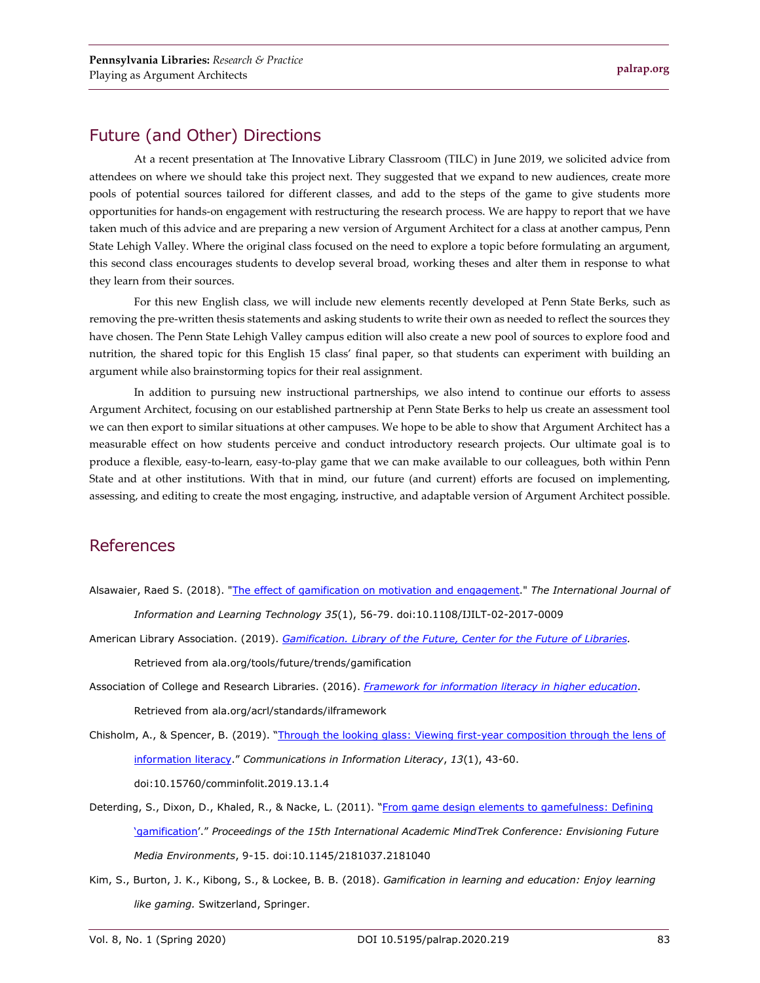# Future (and Other) Directions

At a recent presentation at The Innovative Library Classroom (TILC) in June 2019, we solicited advice from attendees on where we should take this project next. They suggested that we expand to new audiences, create more pools of potential sources tailored for different classes, and add to the steps of the game to give students more opportunities for hands-on engagement with restructuring the research process. We are happy to report that we have taken much of this advice and are preparing a new version of Argument Architect for a class at another campus, Penn State Lehigh Valley. Where the original class focused on the need to explore a topic before formulating an argument, this second class encourages students to develop several broad, working theses and alter them in response to what they learn from their sources.

For this new English class, we will include new elements recently developed at Penn State Berks, such as removing the pre-written thesis statements and asking students to write their own as needed to reflect the sources they have chosen. The Penn State Lehigh Valley campus edition will also create a new pool of sources to explore food and nutrition, the shared topic for this English 15 class' final paper, so that students can experiment with building an argument while also brainstorming topics for their real assignment.

In addition to pursuing new instructional partnerships, we also intend to continue our efforts to assess Argument Architect, focusing on our established partnership at Penn State Berks to help us create an assessment tool we can then export to similar situations at other campuses. We hope to be able to show that Argument Architect has a measurable effect on how students perceive and conduct introductory research projects. Our ultimate goal is to produce a flexible, easy-to-learn, easy-to-play game that we can make available to our colleagues, both within Penn State and at other institutions. With that in mind, our future (and current) efforts are focused on implementing, assessing, and editing to create the most engaging, instructive, and adaptable version of Argument Architect possible.

# References

- Alsawaier, Raed S. (2018). ["The effect of gamification on motivation and engagement.](https://doi.org/10.1108/IJILT-02-2017-0009)" *The International Journal of Information and Learning Technology 35*(1), 56-79. doi:10.1108/IJILT-02-2017-0009
- American Library Association. (2019). *[Gamification. Library of the Future, Center for the Future of Libraries.](http://www.ala.org/tools/future/trends/gamification)* Retrieved from ala.org/tools/future/trends/gamification
- Association of College and Research Libraries. (2016). *[Framework for information literacy in higher education](http://ala.org/acrl/standards/ilframework)*. Retrieved from [ala.org/acrl/standards/ilframework](http://www.ala.org/acrl/standards/ilframework)

Chisholm, A., & Spencer, B. (2019). ["Through the looking glass: Viewing first-year composition through the lens of](https://doi.org/10.15760/comminfolit.2019.13.1.4)  [information literacy.](https://doi.org/10.15760/comminfolit.2019.13.1.4)" *Communications in Information Literacy*, *13*(1), 43-60. doi:10.15760/comminfolit.2019.13.1.4

- Deterding, S., Dixon, D., Khaled, R., & Nacke, L. (2011). "From game design elements to gamefulness: Defining ['gamification'](https://doi.org/10.1145/2181037.2181040)." *Proceedings of the 15th International Academic MindTrek Conference: Envisioning Future Media Environments*, 9-15. doi:10.1145/2181037.2181040
- Kim, S., Burton, J. K., Kibong, S., & Lockee, B. B. (2018). *Gamification in learning and education: Enjoy learning like gaming.* Switzerland, Springer.